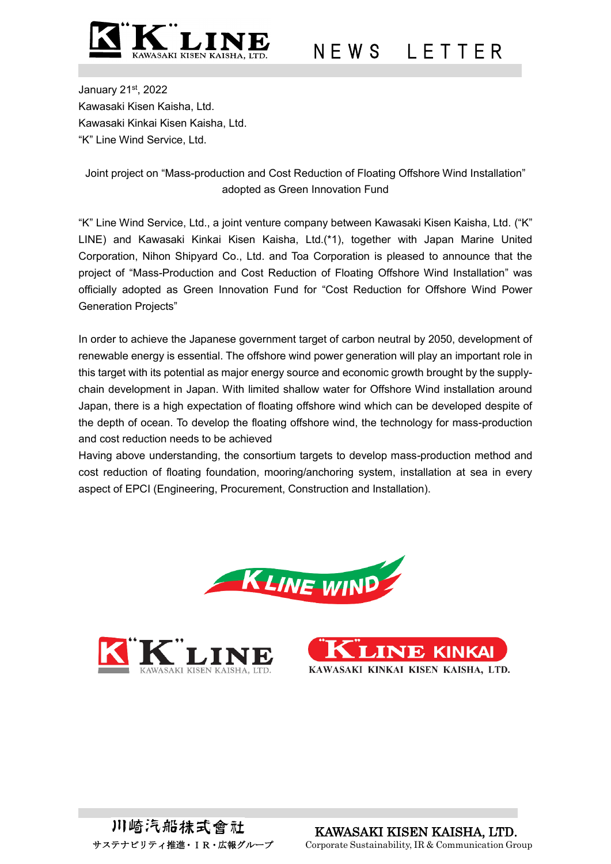

# N F W S I F T T F R

January 21st, 2022 Kawasaki Kisen Kaisha, Ltd. Kawasaki Kinkai Kisen Kaisha, Ltd. "K" Line Wind Service, Ltd.

### Joint project on "Mass-production and Cost Reduction of Floating Offshore Wind Installation" adopted as Green Innovation Fund

"K" Line Wind Service, Ltd., a joint venture company between Kawasaki Kisen Kaisha, Ltd. ("K" LINE) and Kawasaki Kinkai Kisen Kaisha, Ltd.(\*1), together with Japan Marine United Corporation, Nihon Shipyard Co., Ltd. and Toa Corporation is pleased to announce that the project of "Mass-Production and Cost Reduction of Floating Offshore Wind Installation" was officially adopted as Green Innovation Fund for "Cost Reduction for Offshore Wind Power Generation Projects"

In order to achieve the Japanese government target of carbon neutral by 2050, development of renewable energy is essential. The offshore wind power generation will play an important role in this target with its potential as major energy source and economic growth brought by the supplychain development in Japan. With limited shallow water for Offshore Wind installation around Japan, there is a high expectation of floating offshore wind which can be developed despite of the depth of ocean. To develop the floating offshore wind, the technology for mass-production and cost reduction needs to be achieved

Having above understanding, the consortium targets to develop mass-production method and cost reduction of floating foundation, mooring/anchoring system, installation at sea in every aspect of EPCI (Engineering, Procurement, Construction and Installation).





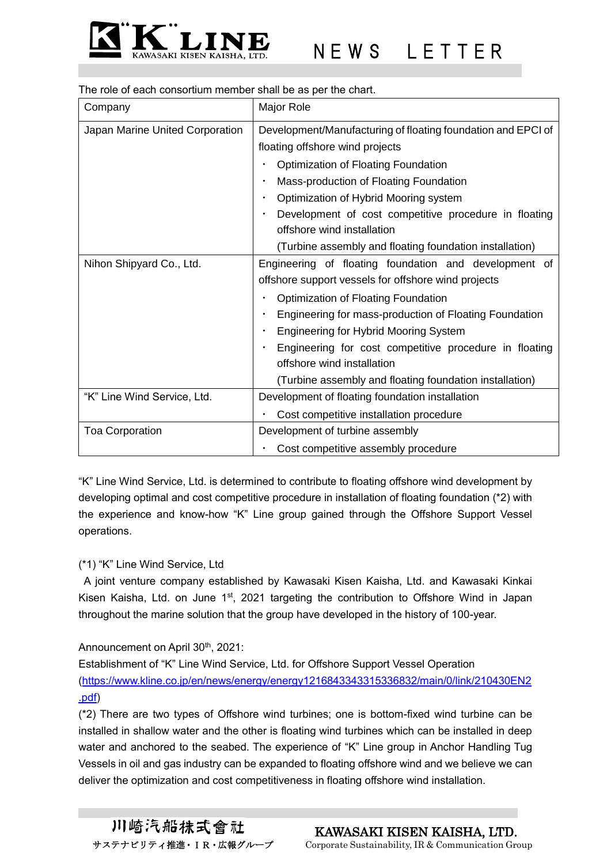

The role of each consortium member shall be as per the chart.

| Company                         | Major Role                                                   |
|---------------------------------|--------------------------------------------------------------|
| Japan Marine United Corporation | Development/Manufacturing of floating foundation and EPCI of |
|                                 | floating offshore wind projects                              |
|                                 | Optimization of Floating Foundation                          |
|                                 | Mass-production of Floating Foundation                       |
|                                 | Optimization of Hybrid Mooring system                        |
|                                 | Development of cost competitive procedure in floating        |
|                                 | offshore wind installation                                   |
|                                 | (Turbine assembly and floating foundation installation)      |
| Nihon Shipyard Co., Ltd.        | Engineering of floating foundation and development of        |
|                                 | offshore support vessels for offshore wind projects          |
|                                 | Optimization of Floating Foundation                          |
|                                 | Engineering for mass-production of Floating Foundation       |
|                                 | <b>Engineering for Hybrid Mooring System</b>                 |
|                                 | Engineering for cost competitive procedure in floating       |
|                                 | offshore wind installation                                   |
|                                 | (Turbine assembly and floating foundation installation)      |
| "K" Line Wind Service, Ltd.     | Development of floating foundation installation              |
|                                 | Cost competitive installation procedure                      |
| <b>Toa Corporation</b>          | Development of turbine assembly                              |
|                                 | Cost competitive assembly procedure                          |

"K" Line Wind Service, Ltd. is determined to contribute to floating offshore wind development by developing optimal and cost competitive procedure in installation of floating foundation (\*2) with the experience and know-how "K" Line group gained through the Offshore Support Vessel operations.

#### (\*1) "K" Line Wind Service, Ltd

A joint venture company established by Kawasaki Kisen Kaisha, Ltd. and Kawasaki Kinkai Kisen Kaisha, Ltd. on June 1<sup>st</sup>, 2021 targeting the contribution to Offshore Wind in Japan throughout the marine solution that the group have developed in the history of 100-year.

#### Announcement on April 30<sup>th</sup>, 2021:

Establishment of "K" Line Wind Service, Ltd. for Offshore Support Vessel Operation [\(https://www.kline.co.jp/en/news/energy/energy1216843343315336832/main/0/link/210430EN2](https://www.kline.co.jp/en/news/energy/energy1216843343315336832/main/0/link/210430EN2.pdf) [.pdf\)](https://www.kline.co.jp/en/news/energy/energy1216843343315336832/main/0/link/210430EN2.pdf)

(\*2) There are two types of Offshore wind turbines; one is bottom-fixed wind turbine can be installed in shallow water and the other is floating wind turbines which can be installed in deep water and anchored to the seabed. The experience of "K" Line group in Anchor Handling Tug Vessels in oil and gas industry can be expanded to floating offshore wind and we believe we can deliver the optimization and cost competitiveness in floating offshore wind installation.